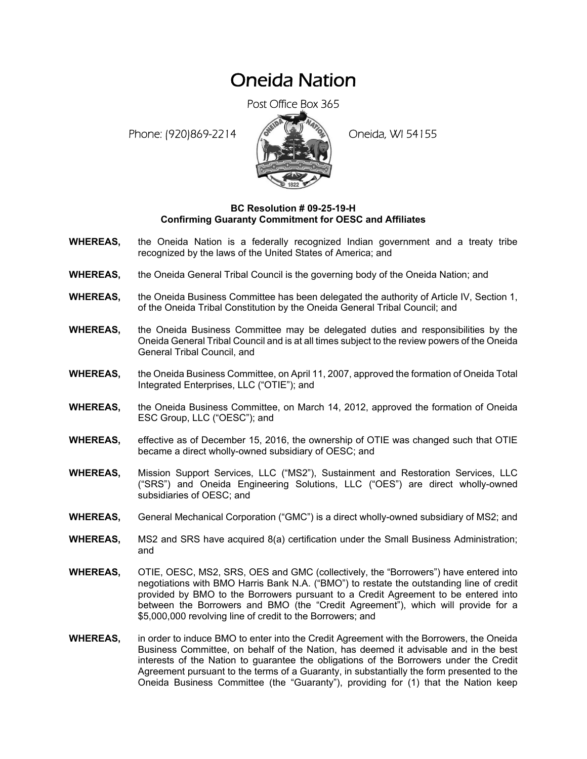## Oneida Nation

Post Office Box 365

Phone: (920)869-2214 (8 April 2) Oneida, WI 54155



## **BC Resolution # 09-25-19-H Confirming Guaranty Commitment for OESC and Affiliates**

- **WHEREAS,** the Oneida Nation is a federally recognized Indian government and a treaty tribe recognized by the laws of the United States of America; and
- **WHEREAS,** the Oneida General Tribal Council is the governing body of the Oneida Nation; and
- **WHEREAS,** the Oneida Business Committee has been delegated the authority of Article IV, Section 1, of the Oneida Tribal Constitution by the Oneida General Tribal Council; and
- **WHEREAS,** the Oneida Business Committee may be delegated duties and responsibilities by the Oneida General Tribal Council and is at all times subject to the review powers of the Oneida General Tribal Council, and
- **WHEREAS,** the Oneida Business Committee, on April 11, 2007, approved the formation of Oneida Total Integrated Enterprises, LLC ("OTIE"); and
- **WHEREAS,** the Oneida Business Committee, on March 14, 2012, approved the formation of Oneida ESC Group, LLC ("OESC"); and
- **WHEREAS,** effective as of December 15, 2016, the ownership of OTIE was changed such that OTIE became a direct wholly-owned subsidiary of OESC; and
- **WHEREAS,** Mission Support Services, LLC ("MS2"), Sustainment and Restoration Services, LLC ("SRS") and Oneida Engineering Solutions, LLC ("OES") are direct wholly-owned subsidiaries of OESC; and
- **WHEREAS,** General Mechanical Corporation ("GMC") is a direct wholly-owned subsidiary of MS2; and
- **WHEREAS,** MS2 and SRS have acquired 8(a) certification under the Small Business Administration; and
- **WHEREAS,** OTIE, OESC, MS2, SRS, OES and GMC (collectively, the "Borrowers") have entered into negotiations with BMO Harris Bank N.A. ("BMO") to restate the outstanding line of credit provided by BMO to the Borrowers pursuant to a Credit Agreement to be entered into between the Borrowers and BMO (the "Credit Agreement"), which will provide for a \$5,000,000 revolving line of credit to the Borrowers; and
- **WHEREAS,** in order to induce BMO to enter into the Credit Agreement with the Borrowers, the Oneida Business Committee, on behalf of the Nation, has deemed it advisable and in the best interests of the Nation to guarantee the obligations of the Borrowers under the Credit Agreement pursuant to the terms of a Guaranty, in substantially the form presented to the Oneida Business Committee (the "Guaranty"), providing for (1) that the Nation keep